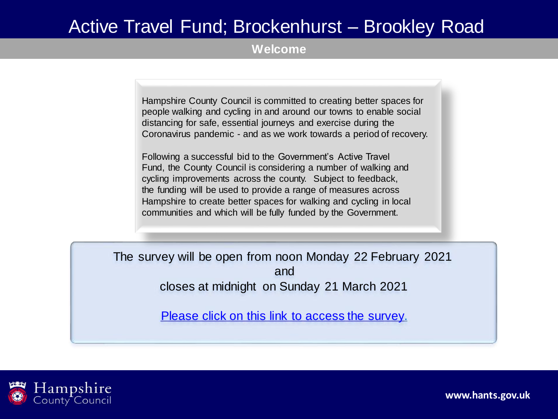**Welcome**

Hampshire County Council is committed to creating better spaces for people walking and cycling in and around our towns to enable social distancing for safe, essential journeys and exercise during the Coronavirus pandemic - and as we work towards a period of recovery.

Following a successful bid to the Government's Active Travel Fund, the County Council is considering a number of walking and cycling improvements across the county. Subject to feedback, the funding will be used to provide a range of measures across Hampshire to create better spaces for walking and cycling in local communities and which will be fully funded by the Government.

The survey will be open from noon Monday 22 February 2021 and closes at midnight on Sunday 21 March 2021

[Please click on this link to access the survey.](https://etehampshirecc.researchfeedback.net/s.asp?k=161365401871)

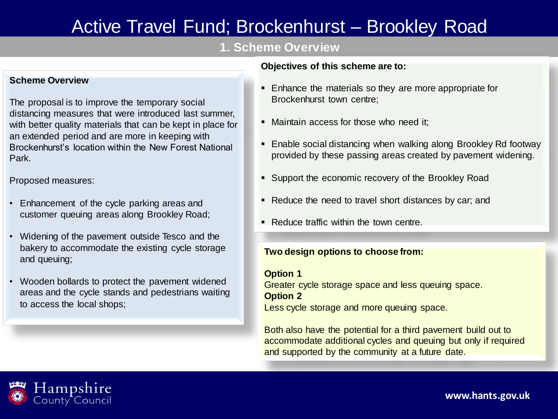## **1. Scheme Overview**

### **Scheme Overview**

The proposal is to improve the temporary social distancing measures that were introduced last summer, with better quality materials that can be kept in place for an extended period and are more in keeping with Brockenhurst's location within the New Forest National Park.

Proposed measures:

- Enhancement of the cycle parking areas and customer queuing areas along Brookley Road;
- Widening of the pavement outside Tesco and the bakery to accommodate the existing cycle storage and queuing;
- Wooden bollards to protect the pavement widened areas and the cycle stands and pedestrians waiting to access the local shops;

### **Objectives of this scheme are to:**

- Enhance the materials so they are more appropriate for Brockenhurst town centre;
- Maintain access for those who need it:
- **Enable social distancing when walking along Brookley Rd footway** provided by these passing areas created by pavement widening.
- Support the economic recovery of the Brookley Road
- Reduce the need to travel short distances by car; and
- Reduce traffic within the town centre.

### **Two design options to choose from:**

### **Option 1**

Greater cycle storage space and less queuing space. **Option 2**

Less cycle storage and more queuing space.

Both also have the potential for a third pavement build out to accommodate additional cycles and queuing but only if required and supported by the community at a future date.

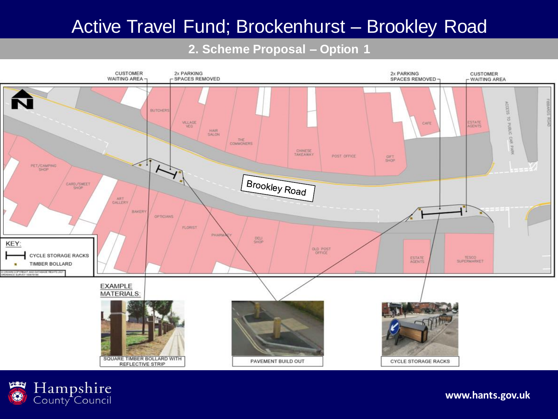## **2. Scheme Proposal – Option 1**



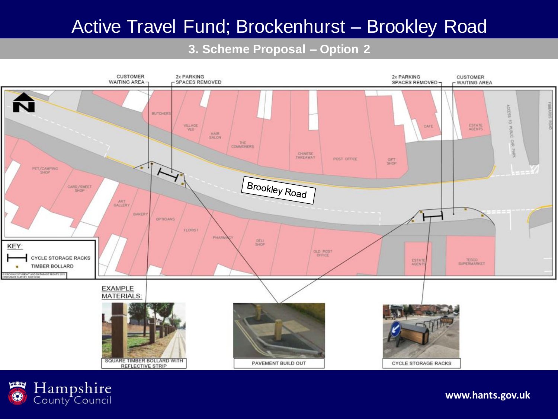## **3. Scheme Proposal – Option 2**



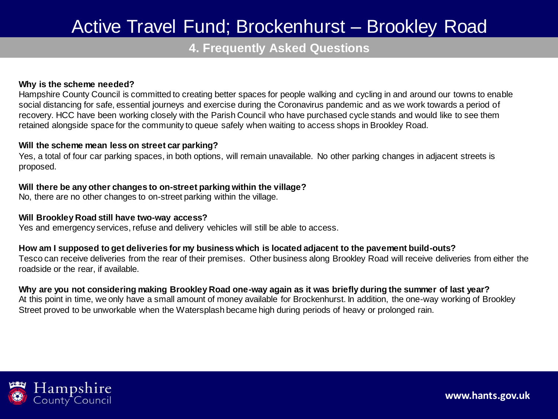## **4. Frequently Asked Questions**

#### **Why is the scheme needed?**

Hampshire County Council is committed to creating better spaces for people walking and cycling in and around our towns to enable social distancing for safe, essential journeys and exercise during the Coronavirus pandemic and as we work towards a period of recovery. HCC have been working closely with the Parish Council who have purchased cycle stands and would like to see them retained alongside space for the community to queue safely when waiting to access shops in Brookley Road.

#### **Will the scheme mean less on street car parking?**

Yes, a total of four car parking spaces, in both options, will remain unavailable. No other parking changes in adjacent streets is proposed.

### **Will there be any other changes to on-street parking within the village?**

No, there are no other changes to on-street parking within the village.

### **Will Brookley Road still have two-way access?**

Yes and emergency services, refuse and delivery vehicles will still be able to access.

### **How am I supposed to get deliveries for my business which is located adjacent to the pavement build-outs?**

Tesco can receive deliveries from the rear of their premises. Other business along Brookley Road will receive deliveries from either the roadside or the rear, if available.

### **Why are you not considering making Brookley Road one-way again as it was briefly during the summer of last year?**

At this point in time, we only have a small amount of money available for Brockenhurst. In addition, the one-way working of Brookley Street proved to be unworkable when the Watersplash became high during periods of heavy or prolonged rain.

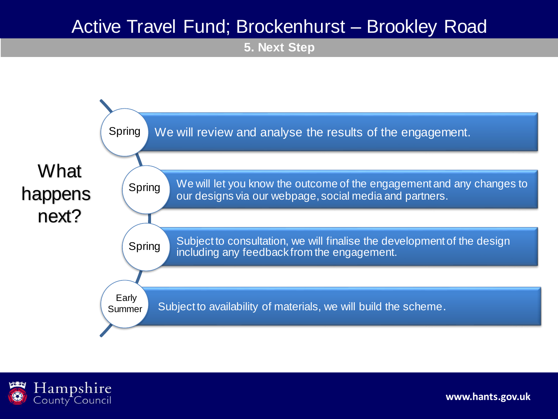**5. Next Step**